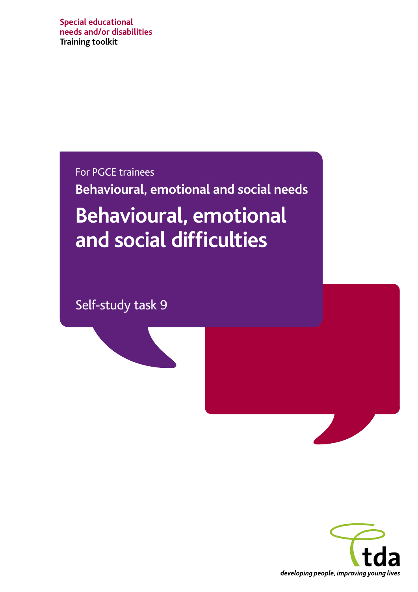**Special educational needs and/or disabilities Training toolkit**

For PGCE trainees

**Behavioural, emotional and social needs** 

# **Behavioural, emotional and social difficulties**

Self-study task 9



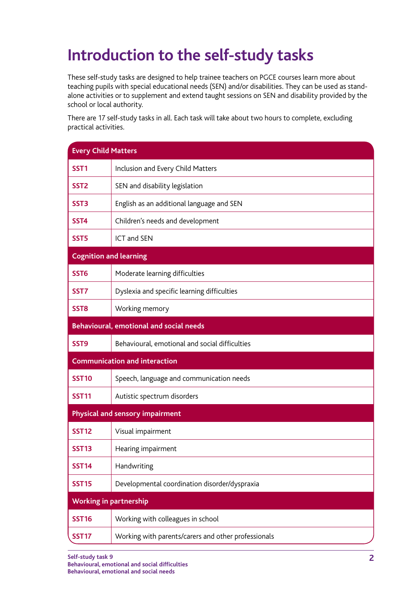## **Introduction to the self-study tasks**

These self-study tasks are designed to help trainee teachers on PGCE courses learn more about teaching pupils with special educational needs (SEN) and/or disabilities. They can be used as standalone activities or to supplement and extend taught sessions on SEN and disability provided by the school or local authority.

There are 17 self-study tasks in all. Each task will take about two hours to complete, excluding practical activities.

| <b>Every Child Matters</b>    |                                                     |
|-------------------------------|-----------------------------------------------------|
| SST <sub>1</sub>              | Inclusion and Every Child Matters                   |
| SST <sub>2</sub>              | SEN and disability legislation                      |
| SST <sub>3</sub>              | English as an additional language and SEN           |
| SST <sub>4</sub>              | Children's needs and development                    |
| SST <sub>5</sub>              | <b>ICT and SEN</b>                                  |
| <b>Cognition and learning</b> |                                                     |
| SST <sub>6</sub>              | Moderate learning difficulties                      |
| SST7                          | Dyslexia and specific learning difficulties         |
| SST <sub>8</sub>              | Working memory                                      |
|                               | <b>Behavioural, emotional and social needs</b>      |
| SST <sub>9</sub>              | Behavioural, emotional and social difficulties      |
|                               | <b>Communication and interaction</b>                |
| <b>SST10</b>                  | Speech, language and communication needs            |
| <b>SST11</b>                  | Autistic spectrum disorders                         |
|                               | Physical and sensory impairment                     |
| <b>SST12</b>                  | Visual impairment                                   |
| <b>SST13</b>                  | Hearing impairment                                  |
| <b>SST14</b>                  | Handwriting                                         |
| <b>SST15</b>                  | Developmental coordination disorder/dyspraxia       |
| <b>Working in partnership</b> |                                                     |
| <b>SST16</b>                  | Working with colleagues in school                   |
| <b>SST17</b>                  | Working with parents/carers and other professionals |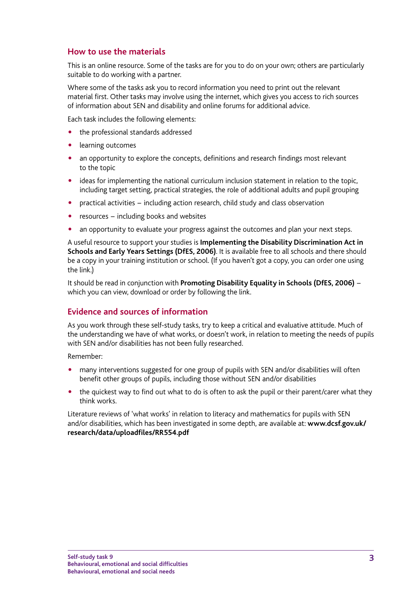### **How to use the materials**

This is an online resource. Some of the tasks are for you to do on your own; others are particularly suitable to do working with a partner.

Where some of the tasks ask you to record information you need to print out the relevant material first. Other tasks may involve using the internet, which gives you access to rich sources of information about SEN and disability and online forums for additional advice.

Each task includes the following elements:

- the professional standards addressed
- learning outcomes
- an opportunity to explore the concepts, definitions and research findings most relevant to the topic
- ideas for implementing the national curriculum inclusion statement in relation to the topic, including target setting, practical strategies, the role of additional adults and pupil grouping
- practical activities including action research, child study and class observation
- resources including books and websites
- an opportunity to evaluate your progress against the outcomes and plan your next steps.

A useful resource to support your studies is **Implementing the [Disability Discrimination Act in](http://search.publications.teachernet.gov.uk/kbroker/dcsf/tnetpubs/search.ladv?sr=0&cs=UTF-8&sc=tnetpubs&nh=10&sb=0&ha=144&hs=0&fl1=publicationshop%3A&op1=1&ty1=0&tx1=2988&fl0=&op0=1&ty0=0&ucSearchControl%3ASimpleSearchButton=Search&tx0=0160-2006DOC-EN)  [Schools and Early Years Settings \(DfES, 2006\)](http://search.publications.teachernet.gov.uk/kbroker/dcsf/tnetpubs/search.ladv?sr=0&cs=UTF-8&sc=tnetpubs&nh=10&sb=0&ha=144&hs=0&fl1=publicationshop%3A&op1=1&ty1=0&tx1=2988&fl0=&op0=1&ty0=0&ucSearchControl%3ASimpleSearchButton=Search&tx0=0160-2006DOC-EN)**. It is available free to all schools and there should be a copy in your training institution or school. (If you haven't got a copy, you can order one using the link.)

It should be read in conjunction with **[Promoting Disability Equality in Schools \(DfES, 2006\)](http://www.teachernet.gov.uk/wholeschool/disability/disabilityandthedda/guidancedisabilityequalityinschools)** − which you can view, download or order by following the link.

### **Evidence and sources of information**

As you work through these self-study tasks, try to keep a critical and evaluative attitude. Much of the understanding we have of what works, or doesn't work, in relation to meeting the needs of pupils with SEN and/or disabilities has not been fully researched.

Remember:

- many interventions suggested for one group of pupils with SEN and/or disabilities will often benefit other groups of pupils, including those without SEN and/or disabilities
- the quickest way to find out what to do is often to ask the pupil or their parent/carer what they think works.

Literature reviews of 'what works' in relation to literacy and mathematics for pupils with SEN and/or disabilities, which has been investigated in some depth, are available at: **[www.dcsf.gov.uk/](www.dcsf.gov.uk/research/data/uploadfiles/RR554.pdf) [research/data/uploadfiles/RR554.pdf](www.dcsf.gov.uk/research/data/uploadfiles/RR554.pdf)**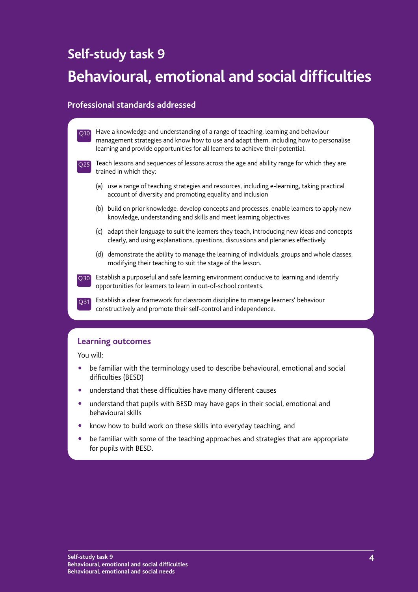### **Self-study task 9**

## **Behavioural, emotional and social difficulties**

### **Professional standards addressed**



### **Learning outcomes**

You will:

- be familiar with the terminology used to describe behavioural, emotional and social difficulties (BESD)
- understand that these difficulties have many different causes
- understand that pupils with BESD may have gaps in their social, emotional and behavioural skills
- know how to build work on these skills into everyday teaching, and
- be familiar with some of the teaching approaches and strategies that are appropriate for pupils with BESD.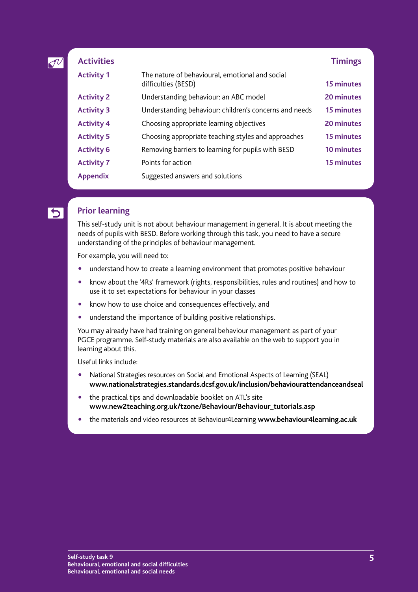| $\mathcal{I}^{\nu}$ | <b>Activities</b> |                                                                        | <b>Timings</b>    |
|---------------------|-------------------|------------------------------------------------------------------------|-------------------|
|                     | <b>Activity 1</b> | The nature of behavioural, emotional and social<br>difficulties (BESD) | 15 minutes        |
|                     | <b>Activity 2</b> | Understanding behaviour: an ABC model                                  | 20 minutes        |
|                     | <b>Activity 3</b> | Understanding behaviour: children's concerns and needs                 | 15 minutes        |
|                     | <b>Activity 4</b> | Choosing appropriate learning objectives                               | 20 minutes        |
|                     | <b>Activity 5</b> | Choosing appropriate teaching styles and approaches                    | <b>15 minutes</b> |
|                     | <b>Activity 6</b> | Removing barriers to learning for pupils with BESD                     | 10 minutes        |
|                     | <b>Activity 7</b> | Points for action                                                      | <b>15 minutes</b> |
|                     | <b>Appendix</b>   | Suggested answers and solutions                                        |                   |

### **Prior learning**

This self-study unit is not about behaviour management in general. It is about meeting the needs of pupils with BESD. Before working through this task, you need to have a secure understanding of the principles of behaviour management.

For example, you will need to:

- understand how to create a learning environment that promotes positive behaviour
- know about the '4Rs' framework (rights, responsibilities, rules and routines) and how to use it to set expectations for behaviour in your classes
- know how to use choice and consequences effectively, and
- understand the importance of building positive relationships.

You may already have had training on general behaviour management as part of your PGCE programme. Self-study materials are also available on the web to support you in learning about this.

Useful links include:

- National Strategies resources on Social and Emotional Aspects of Learning (SEAL) **[www.nationalstrategies.standards.dcsf.gov.uk/inclusion/behaviourattendanceandseal](http://www.nationalstrategies.standards.dcsf.gov.uk/inclusion/behaviourattendanceandseal)**
- the practical tips and downloadable booklet on ATL's site **www.new2teaching.org.uk/tzone/Behaviour/Behaviour\_tutorials.asp**
- " the materials and video resources at Behaviour4Learning **<www.behaviour4learning.ac.uk>**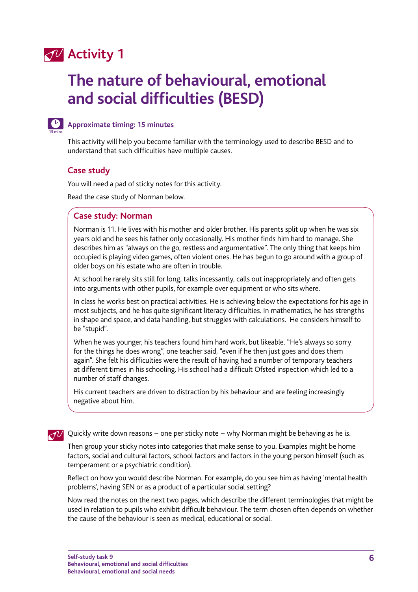### **Activity 1**

## **The nature of behavioural, emotional and social difficulties (BESD)**



### **Approximate timing: 15 minutes**

This activity will help you become familiar with the terminology used to describe BESD and to understand that such difficulties have multiple causes.

### **Case study**

You will need a pad of sticky notes for this activity.

Read the case study of Norman below.

### **Case study: Norman**

Norman is 11. He lives with his mother and older brother. His parents split up when he was six years old and he sees his father only occasionally. His mother finds him hard to manage. She describes him as "always on the go, restless and argumentative". The only thing that keeps him occupied is playing video games, often violent ones. He has begun to go around with a group of older boys on his estate who are often in trouble.

At school he rarely sits still for long, talks incessantly, calls out inappropriately and often gets into arguments with other pupils, for example over equipment or who sits where.

In class he works best on practical activities. He is achieving below the expectations for his age in most subjects, and he has quite significant literacy difficulties. In mathematics, he has strengths in shape and space, and data handling, but struggles with calculations. He considers himself to be "stupid".

When he was younger, his teachers found him hard work, but likeable. "He's always so sorry for the things he does wrong", one teacher said, "even if he then just goes and does them again". She felt his difficulties were the result of having had a number of temporary teachers at different times in his schooling. His school had a difficult Ofsted inspection which led to a number of staff changes.

His current teachers are driven to distraction by his behaviour and are feeling increasingly negative about him.

√√ Quickly write down reasons – one per sticky note – why Norman might be behaving as he is.

Then group your sticky notes into categories that make sense to you. Examples might be home factors, social and cultural factors, school factors and factors in the young person himself (such as temperament or a psychiatric condition).

Reflect on how you would describe Norman. For example, do you see him as having 'mental health problems', having SEN or as a product of a particular social setting?

Now read the notes on the next two pages, which describe the different terminologies that might be used in relation to pupils who exhibit difficult behaviour. The term chosen often depends on whether the cause of the behaviour is seen as medical, educational or social.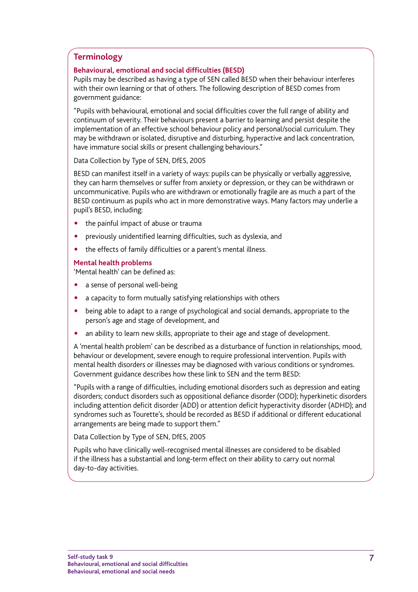### **Terminology**

### **Behavioural, emotional and social difficulties (BESD)**

Pupils may be described as having a type of SEN called BESD when their behaviour interferes with their own learning or that of others. The following description of BESD comes from government guidance:

"Pupils with behavioural, emotional and social difficulties cover the full range of ability and continuum of severity. Their behaviours present a barrier to learning and persist despite the implementation of an effective school behaviour policy and personal/social curriculum. They may be withdrawn or isolated, disruptive and disturbing, hyperactive and lack concentration, have immature social skills or present challenging behaviours."

Data Collection by Type of SEN, DfES, 2005

BESD can manifest itself in a variety of ways: pupils can be physically or verbally aggressive, they can harm themselves or suffer from anxiety or depression, or they can be withdrawn or uncommunicative. Pupils who are withdrawn or emotionally fragile are as much a part of the BESD continuum as pupils who act in more demonstrative ways. Many factors may underlie a pupil's BESD, including:

- the painful impact of abuse or trauma
- previously unidentified learning difficulties, such as dyslexia, and
- the effects of family difficulties or a parent's mental illness.

### **Mental health problems**

'Mental health' can be defined as:

- a sense of personal well-being
- a capacity to form mutually satisfying relationships with others
- being able to adapt to a range of psychological and social demands, appropriate to the person's age and stage of development, and
- an ability to learn new skills, appropriate to their age and stage of development.

A 'mental health problem' can be described as a disturbance of function in relationships, mood, behaviour or development, severe enough to require professional intervention. Pupils with mental health disorders or illnesses may be diagnosed with various conditions or syndromes. Government guidance describes how these link to SEN and the term BESD:

"Pupils with a range of difficulties, including emotional disorders such as depression and eating disorders; conduct disorders such as oppositional defiance disorder (ODD); hyperkinetic disorders including attention deficit disorder (ADD) or attention deficit hyperactivity disorder (ADHD); and syndromes such as Tourette's, should be recorded as BESD if additional or different educational arrangements are being made to support them."

Data Collection by Type of SEN, DfES, 2005

Pupils who have clinically well-recognised mental illnesses are considered to be disabled if the illness has a substantial and long-term effect on their ability to carry out normal day-to-day activities.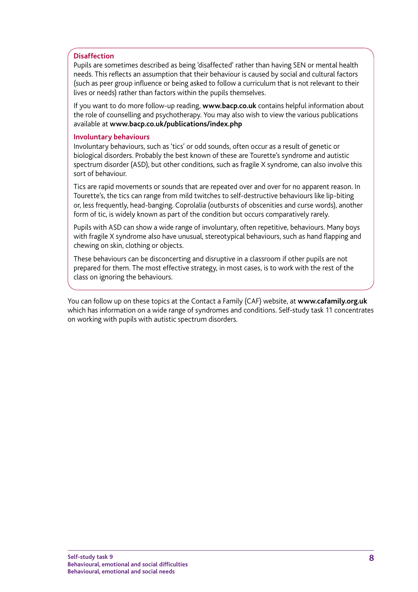### **Disaffection**

Pupils are sometimes described as being 'disaffected' rather than having SEN or mental health needs. This reflects an assumption that their behaviour is caused by social and cultural factors (such as peer group influence or being asked to follow a curriculum that is not relevant to their lives or needs) rather than factors within the pupils themselves.

If you want to do more follow-up reading, **www.bacp.co.uk** contains helpful information about the role of counselling and psychotherapy. You may also wish to view the various publications available at **www.bacp.co.uk/publications/index.php**

#### **Involuntary behaviours**

Involuntary behaviours, such as 'tics' or odd sounds, often occur as a result of genetic or biological disorders. Probably the best known of these are Tourette's syndrome and autistic spectrum disorder (ASD), but other conditions, such as fragile X syndrome, can also involve this sort of behaviour.

Tics are rapid movements or sounds that are repeated over and over for no apparent reason. In Tourette's, the tics can range from mild twitches to self-destructive behaviours like lip-biting or, less frequently, head-banging. Coprolalia (outbursts of obscenities and curse words), another form of tic, is widely known as part of the condition but occurs comparatively rarely.

Pupils with ASD can show a wide range of involuntary, often repetitive, behaviours. Many boys with fragile X syndrome also have unusual, stereotypical behaviours, such as hand flapping and chewing on skin, clothing or objects.

These behaviours can be disconcerting and disruptive in a classroom if other pupils are not prepared for them. The most effective strategy, in most cases, is to work with the rest of the class on ignoring the behaviours.

You can follow up on these topics at the Contact a Family (CAF) website, at **www.cafamily.org.uk**  which has information on a wide range of syndromes and conditions. Self-study task 11 concentrates on working with pupils with autistic spectrum disorders.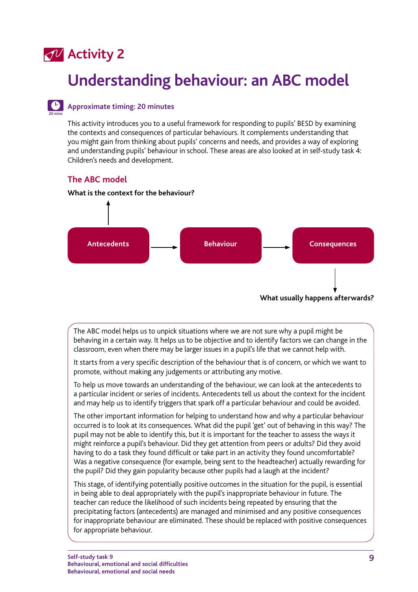### **Activity 2**

**20 mins**

## **Understanding behaviour: an ABC model**

### **Approximate timing: 20 minutes**

This activity introduces you to a useful framework for responding to pupils' BESD by examining the contexts and consequences of particular behaviours. It complements understanding that you might gain from thinking about pupils' concerns and needs, and provides a way of exploring and understanding pupils' behaviour in school. These areas are also looked at in self-study task 4: Children's needs and development.

### **The ABC model**

### **What is the context for the behaviour?**



The ABC model helps us to unpick situations where we are not sure why a pupil might be behaving in a certain way. It helps us to be objective and to identify factors we can change in the classroom, even when there may be larger issues in a pupil's life that we cannot help with.

It starts from a very specific description of the behaviour that is of concern, or which we want to promote, without making any judgements or attributing any motive.

To help us move towards an understanding of the behaviour, we can look at the antecedents to a particular incident or series of incidents. Antecedents tell us about the context for the incident and may help us to identify triggers that spark off a particular behaviour and could be avoided.

The other important information for helping to understand how and why a particular behaviour occurred is to look at its consequences. What did the pupil 'get' out of behaving in this way? The pupil may not be able to identify this, but it is important for the teacher to assess the ways it might reinforce a pupil's behaviour. Did they get attention from peers or adults? Did they avoid having to do a task they found difficult or take part in an activity they found uncomfortable? Was a negative consequence (for example, being sent to the headteacher) actually rewarding for the pupil? Did they gain popularity because other pupils had a laugh at the incident?

This stage, of identifying potentially positive outcomes in the situation for the pupil, is essential in being able to deal appropriately with the pupil's inappropriate behaviour in future. The teacher can reduce the likelihood of such incidents being repeated by ensuring that the precipitating factors (antecedents) are managed and minimised and any positive consequences for inappropriate behaviour are eliminated. These should be replaced with positive consequences for appropriate behaviour.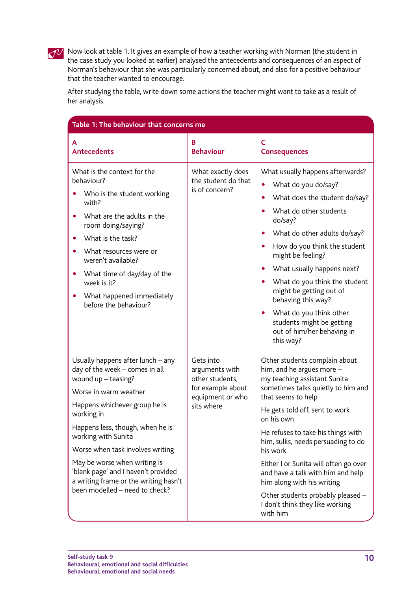

Now look at table 1. It gives an example of how a teacher working with Norman (the student in the case study you looked at earlier) analysed the antecedents and consequences of an aspect of Norman's behaviour that she was particularly concerned about, and also for a positive behaviour that the teacher wanted to encourage.

After studying the table, write down some actions the teacher might want to take as a result of her analysis.

| Table 1: The behaviour that concerns me                                                                                                                                                                                                                                                                                                                                                                             |                                                                                                       |                                                                                                                                                                                                                                                                                                                                                                                                                                                                                                        |  |  |
|---------------------------------------------------------------------------------------------------------------------------------------------------------------------------------------------------------------------------------------------------------------------------------------------------------------------------------------------------------------------------------------------------------------------|-------------------------------------------------------------------------------------------------------|--------------------------------------------------------------------------------------------------------------------------------------------------------------------------------------------------------------------------------------------------------------------------------------------------------------------------------------------------------------------------------------------------------------------------------------------------------------------------------------------------------|--|--|
| А<br><b>Antecedents</b>                                                                                                                                                                                                                                                                                                                                                                                             | B<br><b>Behaviour</b>                                                                                 | Ċ<br><b>Consequences</b>                                                                                                                                                                                                                                                                                                                                                                                                                                                                               |  |  |
| What is the context for the<br>behaviour?<br>Who is the student working<br>with?<br>What are the adults in the<br>room doing/saying?<br>What is the task?<br>What resources were or<br>weren't available?<br>What time of day/day of the<br>$\bullet$<br>week is it?<br>What happened immediately<br>before the behaviour?                                                                                          | What exactly does<br>the student do that<br>is of concern?                                            | What usually happens afterwards?<br>What do you do/say?<br>What does the student do/say?<br>$\bullet$<br>What do other students<br>$\bullet$<br>do/say?<br>What do other adults do/say?<br>How do you think the student<br>$\bullet$<br>might be feeling?<br>What usually happens next?<br>What do you think the student<br>$\bullet$<br>might be getting out of<br>behaving this way?<br>What do you think other<br>$\bullet$<br>students might be getting<br>out of him/her behaving in<br>this way? |  |  |
| Usually happens after lunch - any<br>day of the week - comes in all<br>wound up - teasing?<br>Worse in warm weather<br>Happens whichever group he is<br>working in<br>Happens less, though, when he is<br>working with Sunita<br>Worse when task involves writing<br>May be worse when writing is<br>'blank page' and I haven't provided<br>a writing frame or the writing hasn't<br>been modelled - need to check? | Gets into<br>arguments with<br>other students,<br>for example about<br>equipment or who<br>sits where | Other students complain about<br>him, and he argues more -<br>my teaching assistant Sunita<br>sometimes talks quietly to him and<br>that seems to help<br>He gets told off, sent to work<br>on his own<br>He refuses to take his things with<br>him, sulks, needs persuading to do<br>his work<br>Either I or Sunita will often go over<br>and have a talk with him and help<br>him along with his writing<br>Other students probably pleased -<br>I don't think they like working<br>with him         |  |  |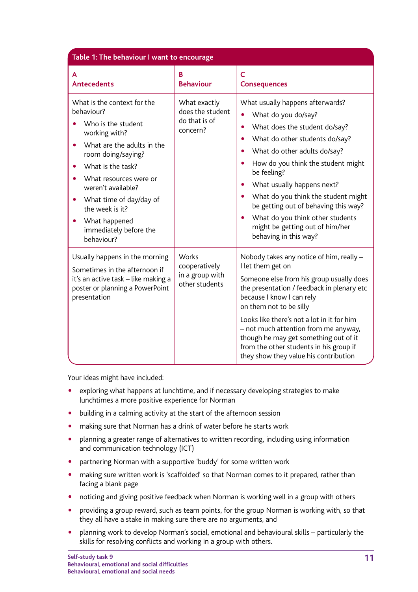|                                                                                                                                                                                                                                                                                                                  | Table 1: The behaviour I want to encourage                    |                                                                                                                                                                                                                                                                                                                                                                                                                                                                                                                         |  |  |  |
|------------------------------------------------------------------------------------------------------------------------------------------------------------------------------------------------------------------------------------------------------------------------------------------------------------------|---------------------------------------------------------------|-------------------------------------------------------------------------------------------------------------------------------------------------------------------------------------------------------------------------------------------------------------------------------------------------------------------------------------------------------------------------------------------------------------------------------------------------------------------------------------------------------------------------|--|--|--|
| A<br><b>Antecedents</b>                                                                                                                                                                                                                                                                                          | B<br><b>Behaviour</b>                                         | $\mathsf{C}$<br><b>Consequences</b>                                                                                                                                                                                                                                                                                                                                                                                                                                                                                     |  |  |  |
| What is the context for the<br>behaviour?<br>Who is the student<br>working with?<br>What are the adults in the<br>room doing/saying?<br>What is the task?<br>What resources were or<br>weren't available?<br>What time of day/day of<br>the week is it?<br>What happened<br>immediately before the<br>behaviour? | What exactly<br>does the student<br>do that is of<br>concern? | What usually happens afterwards?<br>What do you do/say?<br>$\bullet$<br>What does the student do/say?<br>$\bullet$<br>What do other students do/say?<br>What do other adults do/say?<br>$\bullet$<br>How do you think the student might<br>$\bullet$<br>be feeling?<br>What usually happens next?<br>$\bullet$<br>What do you think the student might<br>$\bullet$<br>be getting out of behaving this way?<br>What do you think other students<br>$\bullet$<br>might be getting out of him/her<br>behaving in this way? |  |  |  |
| Usually happens in the morning<br>Sometimes in the afternoon if<br>it's an active task - like making a<br>poster or planning a PowerPoint<br>presentation                                                                                                                                                        | Works<br>cooperatively<br>in a group with<br>other students   | Nobody takes any notice of him, really -<br>I let them get on<br>Someone else from his group usually does<br>the presentation / feedback in plenary etc<br>because I know I can rely<br>on them not to be silly<br>Looks like there's not a lot in it for him<br>- not much attention from me anyway,<br>though he may get something out of it<br>from the other students in his group if<br>they show they value his contribution                                                                                      |  |  |  |

Your ideas might have included:

- exploring what happens at lunchtime, and if necessary developing strategies to make lunchtimes a more positive experience for Norman
- building in a calming activity at the start of the afternoon session
- making sure that Norman has a drink of water before he starts work
- planning a greater range of alternatives to written recording, including using information and communication technology (ICT)
- partnering Norman with a supportive 'buddy' for some written work
- making sure written work is 'scaffolded' so that Norman comes to it prepared, rather than facing a blank page
- noticing and giving positive feedback when Norman is working well in a group with others
- providing a group reward, such as team points, for the group Norman is working with, so that they all have a stake in making sure there are no arguments, and
- " planning work to develop Norman's social, emotional and behavioural skills particularly the skills for resolving conflicts and working in a group with others.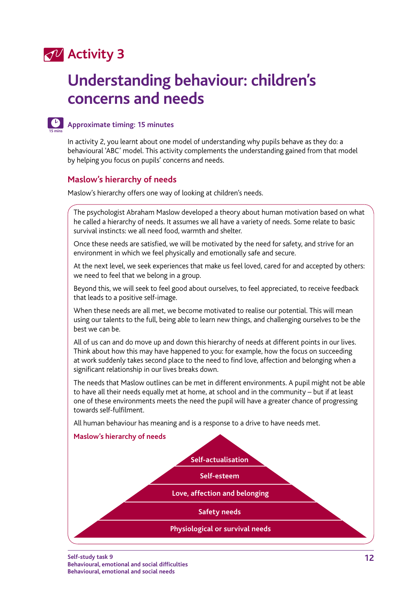### **Activity 3**

## **Understanding behaviour: children's concerns and needs**



### **Approximate timing: 15 minutes**

In activity 2, you learnt about one model of understanding why pupils behave as they do: a behavioural 'ABC' model. This activity complements the understanding gained from that model by helping you focus on pupils' concerns and needs.

### **Maslow's hierarchy of needs**

Maslow's hierarchy offers one way of looking at children's needs.

The psychologist Abraham Maslow developed a theory about human motivation based on what he called a hierarchy of needs. It assumes we all have a variety of needs. Some relate to basic survival instincts: we all need food, warmth and shelter.

Once these needs are satisfied, we will be motivated by the need for safety, and strive for an environment in which we feel physically and emotionally safe and secure.

At the next level, we seek experiences that make us feel loved, cared for and accepted by others: we need to feel that we belong in a group.

Beyond this, we will seek to feel good about ourselves, to feel appreciated, to receive feedback that leads to a positive self-image.

When these needs are all met, we become motivated to realise our potential. This will mean using our talents to the full, being able to learn new things, and challenging ourselves to be the best we can be.

All of us can and do move up and down this hierarchy of needs at different points in our lives. Think about how this may have happened to you: for example, how the focus on succeeding at work suddenly takes second place to the need to find love, affection and belonging when a significant relationship in our lives breaks down.

The needs that Maslow outlines can be met in different environments. A pupil might not be able to have all their needs equally met at home, at school and in the community – but if at least one of these environments meets the need the pupil will have a greater chance of progressing towards self-fulfilment.

All human behaviour has meaning and is a response to a drive to have needs met.

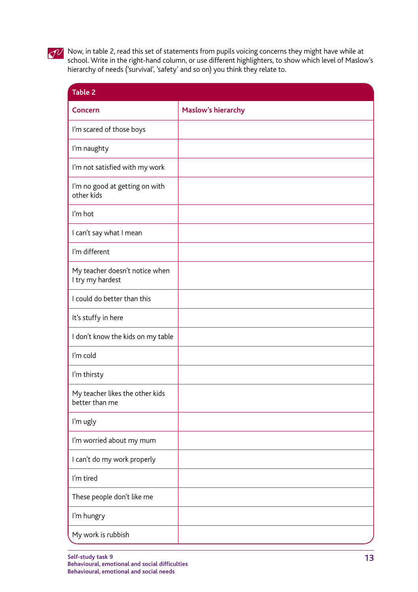

Now, in table 2, read this set of statements from pupils voicing concerns they might have while at school. Write in the right-hand column, or use different highlighters, to show which level of Maslow's hierarchy of needs ('survival', 'safety' and so on) you think they relate to.

| <b>Table 2</b>                                     |                           |
|----------------------------------------------------|---------------------------|
| <b>Concern</b>                                     | <b>Maslow's hierarchy</b> |
| I'm scared of those boys                           |                           |
| I'm naughty                                        |                           |
| I'm not satisfied with my work                     |                           |
| I'm no good at getting on with<br>other kids       |                           |
| I'm hot                                            |                           |
| I can't say what I mean                            |                           |
| I'm different                                      |                           |
| My teacher doesn't notice when<br>I try my hardest |                           |
| I could do better than this                        |                           |
| It's stuffy in here                                |                           |
| I don't know the kids on my table                  |                           |
| I'm cold                                           |                           |
| I'm thirsty                                        |                           |
| My teacher likes the other kids<br>better than me  |                           |
| I'm ugly                                           |                           |
| I'm worried about my mum                           |                           |
| I can't do my work properly                        |                           |
| I'm tired                                          |                           |
| These people don't like me                         |                           |
| I'm hungry                                         |                           |
| My work is rubbish                                 |                           |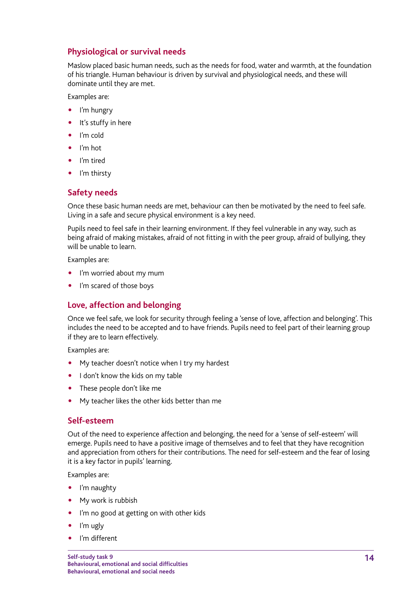### **Physiological or survival needs**

Maslow placed basic human needs, such as the needs for food, water and warmth, at the foundation of his triangle. Human behaviour is driven by survival and physiological needs, and these will dominate until they are met.

Examples are:

- I'm hungry
- It's stuffy in here
- I'm cold
- I'm hot
- I'm tired
- I'm thirsty

### **Safety needs**

Once these basic human needs are met, behaviour can then be motivated by the need to feel safe. Living in a safe and secure physical environment is a key need.

Pupils need to feel safe in their learning environment. If they feel vulnerable in any way, such as being afraid of making mistakes, afraid of not fitting in with the peer group, afraid of bullying, they will be unable to learn.

Examples are:

- . I'm worried about my mum
- I'm scared of those boys

### **Love, affection and belonging**

Once we feel safe, we look for security through feeling a 'sense of love, affection and belonging'. This includes the need to be accepted and to have friends. Pupils need to feel part of their learning group if they are to learn effectively.

Examples are:

- My teacher doesn't notice when I try my hardest
- I don't know the kids on my table
- These people don't like me
- My teacher likes the other kids better than me

### **Self-esteem**

Out of the need to experience affection and belonging, the need for a 'sense of self-esteem' will emerge. Pupils need to have a positive image of themselves and to feel that they have recognition and appreciation from others for their contributions. The need for self-esteem and the fear of losing it is a key factor in pupils' learning.

Examples are:

- I'm naughty
- My work is rubbish
- I'm no good at getting on with other kids
- I'm ugly
- I'm different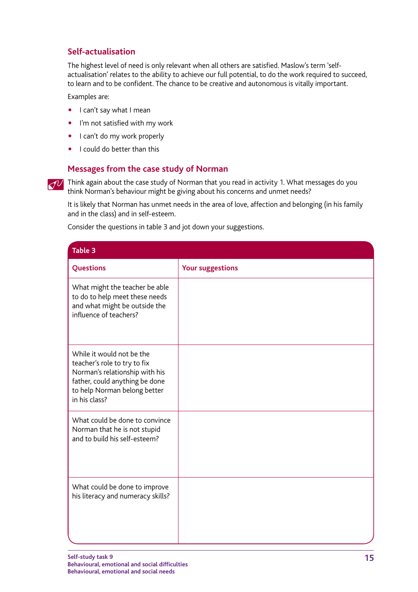### **Self-actualisation**

The highest level of need is only relevant when all others are satisfied. Maslow's term 'selfactualisation' relates to the ability to achieve our full potential, to do the work required to succeed, to learn and to be confident. The chance to be creative and autonomous is vitally important.

Examples are:

- I can't say what I mean
- I'm not satisfied with my work
- I can't do my work properly
- I could do better than this

### **Messages from the case study of Norman**

 $\overline{\mathcal{O}'}$  Think again about the case study of Norman that you read in activity 1. What messages do you think Norman's behaviour might be giving about his concerns and unmet needs?

It is likely that Norman has unmet needs in the area of love, affection and belonging (in his family and in the class) and in self-esteem.

Consider the questions in table 3 and jot down your suggestions.

| Table 3                                                                                                                                                                        |                         |
|--------------------------------------------------------------------------------------------------------------------------------------------------------------------------------|-------------------------|
| Questions                                                                                                                                                                      | <b>Your suggestions</b> |
| What might the teacher be able<br>to do to help meet these needs<br>and what might be outside the<br>influence of teachers?                                                    |                         |
| While it would not be the<br>teacher's role to try to fix<br>Norman's relationship with his<br>father, could anything be done<br>to help Norman belong better<br>in his class? |                         |
| What could be done to convince<br>Norman that he is not stupid<br>and to build his self-esteem?                                                                                |                         |
| What could be done to improve<br>his literacy and numeracy skills?                                                                                                             |                         |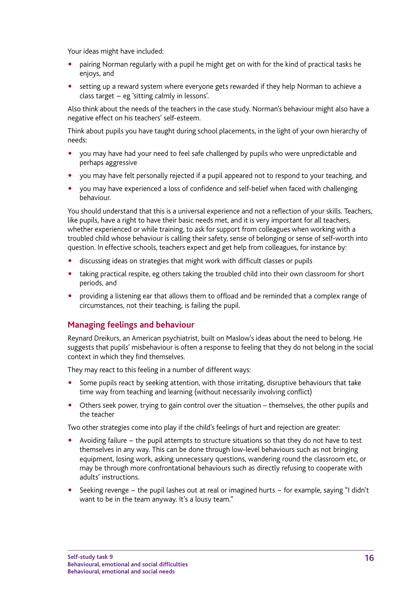Your ideas might have included:

- pairing Norman regularly with a pupil he might get on with for the kind of practical tasks he enjoys, and
- setting up a reward system where everyone gets rewarded if they help Norman to achieve a class target − eg 'sitting calmly in lessons'.

Also think about the needs of the teachers in the case study. Norman's behaviour might also have a negative effect on his teachers' self-esteem.

Think about pupils you have taught during school placements, in the light of your own hierarchy of needs:

- " you may have had your need to feel safe challenged by pupils who were unpredictable and perhaps aggressive
- " you may have felt personally rejected if a pupil appeared not to respond to your teaching, and
- " you may have experienced a loss of confidence and self-belief when faced with challenging behaviour.

You should understand that this is a universal experience and not a reflection of your skills. Teachers, like pupils, have a right to have their basic needs met, and it is very important for all teachers, whether experienced or while training, to ask for support from colleagues when working with a troubled child whose behaviour is calling their safety, sense of belonging or sense of self-worth into question. In effective schools, teachers expect and get help from colleagues, for instance by:

- " discussing ideas on strategies that might work with difficult classes or pupils
- taking practical respite, eg others taking the troubled child into their own classroom for short periods, and
- providing a listening ear that allows them to offload and be reminded that a complex range of circumstances, not their teaching, is failing the pupil.

### **Managing feelings and behaviour**

Reynard Dreikurs, an American psychiatrist, built on Maslow's ideas about the need to belong. He suggests that pupils' misbehaviour is often a response to feeling that they do not belong in the social context in which they find themselves.

They may react to this feeling in a number of different ways:

- Some pupils react by seeking attention, with those irritating, disruptive behaviours that take time way from teaching and learning (without necessarily involving conflict)
- " Others seek power, trying to gain control over the situation themselves, the other pupils and the teacher

Two other strategies come into play if the child's feelings of hurt and rejection are greater:

- Avoiding failure − the pupil attempts to structure situations so that they do not have to test themselves in any way. This can be done through low-level behaviours such as not bringing equipment, losing work, asking unnecessary questions, wandering round the classroom etc, or may be through more confrontational behaviours such as directly refusing to cooperate with adults' instructions.
- " Seeking revenge − the pupil lashes out at real or imagined hurts − for example, saying "I didn't want to be in the team anyway. It's a lousy team."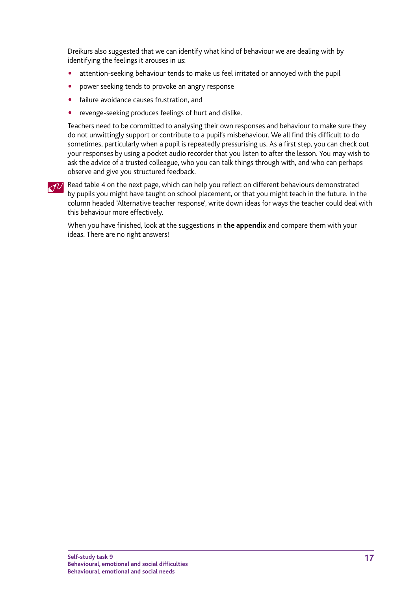<span id="page-16-0"></span>Dreikurs also suggested that we can identify what kind of behaviour we are dealing with by identifying the feelings it arouses in us:

- attention-seeking behaviour tends to make us feel irritated or annoyed with the pupil
- power seeking tends to provoke an angry response
- failure avoidance causes frustration, and
- revenge-seeking produces feelings of hurt and dislike.

Teachers need to be committed to analysing their own responses and behaviour to make sure they do not unwittingly support or contribute to a pupil's misbehaviour. We all find this difficult to do sometimes, particularly when a pupil is repeatedly pressurising us. As a first step, you can check out your responses by using a pocket audio recorder that you listen to after the lesson. You may wish to ask the advice of a trusted colleague, who you can talk things through with, and who can perhaps observe and give you structured feedback.

### Read table 4 on the next page, which can help you reflect on different behaviours demonstrated by pupils you might have taught on school placement, or that you might teach in the future. In the column headed 'Alternative teacher response', write down ideas for ways the teacher could deal with this behaviour more effectively.

When you have finished, look at the suggestions in **[the appendix](#page-26-0)** and compare them with your ideas. There are no right answers!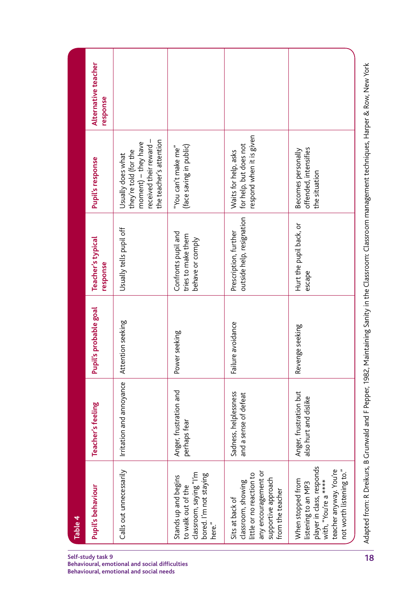| Alternative teacher<br>response |                                                                                                                         |                                                                                                          |                                                                                                                                      |                                                                                                                                                     |
|---------------------------------|-------------------------------------------------------------------------------------------------------------------------|----------------------------------------------------------------------------------------------------------|--------------------------------------------------------------------------------------------------------------------------------------|-----------------------------------------------------------------------------------------------------------------------------------------------------|
| Pupil's response                | the teacher's attention<br>received their reward -<br>moment) - they have<br>they're told (for the<br>Usually does what | (face saving in public)<br>"You can't make me"                                                           | respond when it is given<br>for help, but does not<br>Waits for help, asks                                                           | offended, intensifies<br>Becomes personally<br>the situation                                                                                        |
| Teacher's typical<br>response   | Usually tells pupil off                                                                                                 | Confronts pupil and<br>tries to make them<br>behave or comply                                            | outside help, resignation<br>Prescription, further                                                                                   | Hurt the pupil back, or<br>escape                                                                                                                   |
| Pupil's probable goal           | Attention seeking                                                                                                       | Power seeking                                                                                            | Failure avoidance                                                                                                                    | Revenge seeking                                                                                                                                     |
| Teacher's feeling               | Irritation and annoyance                                                                                                | Anger, frustration and<br>perhaps fear                                                                   | Sadness, helplessness<br>and a sense of defeat                                                                                       | Anger, frustration but<br>also hurt and dislike                                                                                                     |
| Pupil's behaviour               | Calls out unnecessarily                                                                                                 | classroom, saying "I'm<br>bored. I'm not staying<br>Stands up and begins<br>to walk out of the<br>here." | any encouragement or<br>little or no reaction to<br>supportive approach<br>classroom, showing<br>from the teacher<br>Sits at back of | player in class, responds<br>teacher anyway. You're<br>not worth listening to."<br>When stopped from<br>with, "You're a ****<br>listening to an MP3 |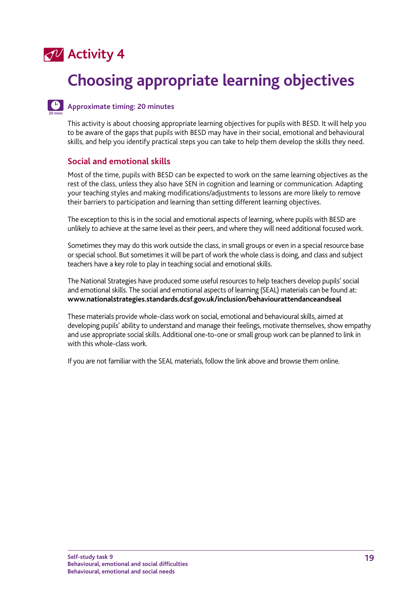

**20 mins**

## **Choosing appropriate learning objectives**

### **Approximate timing: 20 minutes**

This activity is about choosing appropriate learning objectives for pupils with BESD. It will help you to be aware of the gaps that pupils with BESD may have in their social, emotional and behavioural skills, and help you identify practical steps you can take to help them develop the skills they need.

### **Social and emotional skills**

Most of the time, pupils with BESD can be expected to work on the same learning objectives as the rest of the class, unless they also have SEN in cognition and learning or communication. Adapting your teaching styles and making modifications/adjustments to lessons are more likely to remove their barriers to participation and learning than setting different learning objectives.

The exception to this is in the social and emotional aspects of learning, where pupils with BESD are unlikely to achieve at the same level as their peers, and where they will need additional focused work.

Sometimes they may do this work outside the class, in small groups or even in a special resource base or special school. But sometimes it will be part of work the whole class is doing, and class and subject teachers have a key role to play in teaching social and emotional skills.

The National Strategies have produced some useful resources to help teachers develop pupils' social and emotional skills. The social and emotional aspects of learning (SEAL) materials can be found at: **<www.nationalstrategies.standards.dcsf.gov.uk/inclusion/behaviourattendanceandseal>**

These materials provide whole-class work on social, emotional and behavioural skills, aimed at developing pupils' ability to understand and manage their feelings, motivate themselves, show empathy and use appropriate social skills. Additional one-to-one or small group work can be planned to link in with this whole-class work.

If you are not familiar with the SEAL materials, follow the link above and browse them online.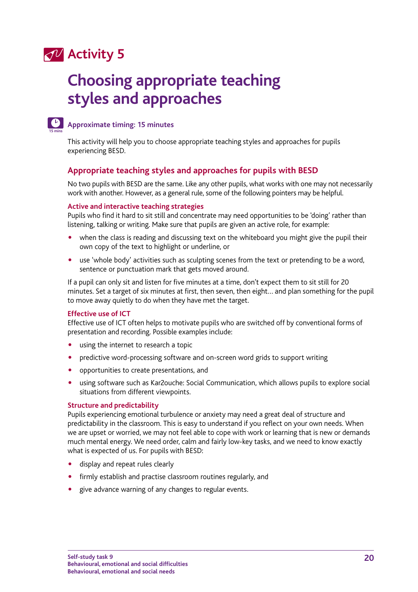### **Activity 5**

## **Choosing appropriate teaching styles and approaches**



### **Approximate timing: 15 minutes**

This activity will help you to choose appropriate teaching styles and approaches for pupils experiencing BESD.

### **Appropriate teaching styles and approaches for pupils with BESD**

No two pupils with BESD are the same. Like any other pupils, what works with one may not necessarily work with another. However, as a general rule, some of the following pointers may be helpful.

#### **Active and interactive teaching strategies**

Pupils who find it hard to sit still and concentrate may need opportunities to be 'doing' rather than listening, talking or writing. Make sure that pupils are given an active role, for example:

- when the class is reading and discussing text on the whiteboard you might give the pupil their own copy of the text to highlight or underline, or
- use 'whole body' activities such as sculpting scenes from the text or pretending to be a word, sentence or punctuation mark that gets moved around.

If a pupil can only sit and listen for five minutes at a time, don't expect them to sit still for 20 minutes. Set a target of six minutes at first, then seven, then eight… and plan something for the pupil to move away quietly to do when they have met the target.

### **Effective use of ICT**

Effective use of ICT often helps to motivate pupils who are switched off by conventional forms of presentation and recording. Possible examples include:

- using the internet to research a topic
- predictive word-processing software and on-screen word grids to support writing
- opportunities to create presentations, and
- using software such as Kar2ouche: Social Communication, which allows pupils to explore social situations from different viewpoints.

### **Structure and predictability**

Pupils experiencing emotional turbulence or anxiety may need a great deal of structure and predictability in the classroom. This is easy to understand if you reflect on your own needs. When we are upset or worried, we may not feel able to cope with work or learning that is new or demands much mental energy. We need order, calm and fairly low-key tasks, and we need to know exactly what is expected of us. For pupils with BESD:

- display and repeat rules clearly
- firmly establish and practise classroom routines regularly, and
- give advance warning of any changes to regular events.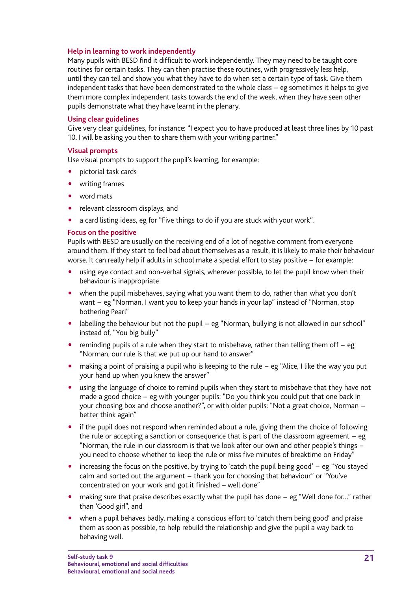### **Help in learning to work independently**

Many pupils with BESD find it difficult to work independently. They may need to be taught core routines for certain tasks. They can then practise these routines, with progressively less help, until they can tell and show you what they have to do when set a certain type of task. Give them independent tasks that have been demonstrated to the whole class – eg sometimes it helps to give them more complex independent tasks towards the end of the week, when they have seen other pupils demonstrate what they have learnt in the plenary.

#### **Using clear guidelines**

Give very clear guidelines, for instance: "I expect you to have produced at least three lines by 10 past 10. I will be asking you then to share them with your writing partner."

#### **Visual prompts**

Use visual prompts to support the pupil's learning, for example:

- pictorial task cards
- writing frames
- word mats
- relevant classroom displays, and
- a card listing ideas, eg for "Five things to do if you are stuck with your work".

#### **Focus on the positive**

Pupils with BESD are usually on the receiving end of a lot of negative comment from everyone around them. If they start to feel bad about themselves as a result, it is likely to make their behaviour worse. It can really help if adults in school make a special effort to stay positive – for example:

- using eye contact and non-verbal signals, wherever possible, to let the pupil know when their behaviour is inappropriate
- when the pupil misbehaves, saying what you want them to do, rather than what you don't want − eg "Norman, I want you to keep your hands in your lap" instead of "Norman, stop bothering Pearl"
- labelling the behaviour but not the pupil eg "Norman, bullying is not allowed in our school" instead of, "You big bully"
- . reminding pupils of a rule when they start to misbehave, rather than telling them off eg "Norman, our rule is that we put up our hand to answer"
- making a point of praising a pupil who is keeping to the rule eg "Alice, I like the way you put your hand up when you knew the answer"
- using the language of choice to remind pupils when they start to misbehave that they have not made a good choice – eg with younger pupils: "Do you think you could put that one back in your choosing box and choose another?", or with older pupils: "Not a great choice, Norman − better think again"
- if the pupil does not respond when reminded about a rule, giving them the choice of following the rule or accepting a sanction or consequence that is part of the classroom agreement – eg "Norman, the rule in our classroom is that we look after our own and other people's things − you need to choose whether to keep the rule or miss five minutes of breaktime on Friday"
- increasing the focus on the positive, by trying to 'catch the pupil being good' eg "You stayed calm and sorted out the argument – thank you for choosing that behaviour" or "You've concentrated on your work and got it finished – well done"
- " making sure that praise describes exactly what the pupil has done − eg "Well done for…" rather than 'Good girl", and
- when a pupil behaves badly, making a conscious effort to 'catch them being good' and praise them as soon as possible, to help rebuild the relationship and give the pupil a way back to behaving well.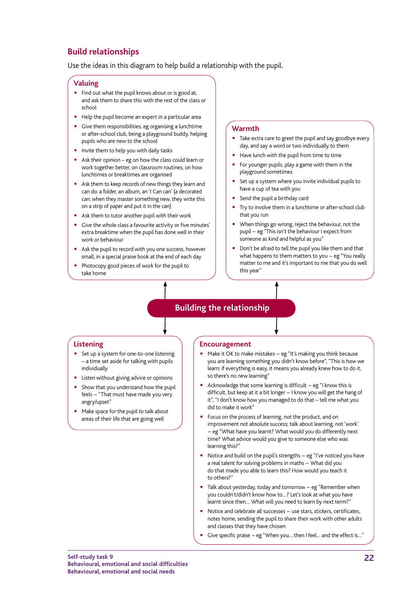### **Build relationships**

Use the ideas in this diagram to help build a relationship with the pupil.

#### **Valuing**

- Find out what the pupil knows about or is good at, and ask them to share this with the rest of the class or school
- " Help the pupil become an expert in a particular area
- " Give them responsibilities, eg organising a lunchtime or after-school club, being a playground buddy, helping pupils who are new to the school
- Invite them to help you with daily tasks
- " Ask their opinion eg on how the class could learn or work together better, on classroom routines, on how lunchtimes or breaktimes are organised
- Ask them to keep records of new things they learn and can do: a folder, an album, an 'I Can can' (a decorated can: when they master something new, they write this on a strip of paper and put it in the can)
- Ask them to tutor another pupil with their work
- Give the whole class a favourite activity or five minutes' extra breaktime when the pupil has done well in their work or behaviour
- Ask the pupil to record with you one success, however small, in a special praise book at the end of each day
- Photocopy good pieces of work for the pupil to take home

#### **Warmth**

- Take extra care to greet the pupil and say goodbye every day, and say a word or two individually to them
- Have lunch with the pupil from time to time
- For younger pupils, play a game with them in the playground sometimes
- Set up a system where you invite individual pupils to have a cup of tea with you
- Send the pupil a birthday card
- Try to involve them in a lunchtime or after-school club that you run
- When things go wrong, reject the behaviour, not the pupil − eg "This isn't the behaviour I expect from someone as kind and helpful as you"
- Don't be afraid to tell the pupil you like them and that what happens to them matters to you − eg "You really matter to me and it's important to me that you do well this year"

### **Building the relationship**

#### **Listening**

- Set up a system for one-to-one listening – a time set aside for talking with pupils individually
- Listen without giving advice or opinions
- Show that you understand how the pupil feels − "That must have made you very angry/upset"
- Make space for the pupil to talk about areas of their life that are going well

#### **Encouragement**

- Make it OK to make mistakes eg "It's making you think because you are learning something you didn't know before", "This is how we learn: if everything is easy, it means you already knew how to do it, so there's no new learning"
- Acknowledge that some learning is difficult eg "I know this is difficult, but keep at it a bit longer − I know you will get the hang of it", "I don't know how you managed to do that – tell me what you did to make it work"
- " Focus on the process of learning, not the product, and on improvement not absolute success; talk about learning, not 'work' − eg "What have you learnt? What would you do differently next time? What advice would you give to someone else who was learning this?"
- Notice and build on the pupil's strengths eg "I've noticed you have a real talent for solving problems in maths − What did you do that made you able to learn this? How would you teach it to others?"
- Talk about yesterday, today and tomorrow eg "Remember when you couldn't/didn't know how to…? Let's look at what you have learnt since then… What will you need to learn by next term?"
- " Notice and celebrate all successes − use stars, stickers, certificates, notes home, sending the pupil to share their work with other adults and classes that they have chosen
- " Give specific praise − eg "When you… then I feel… and the effect is…"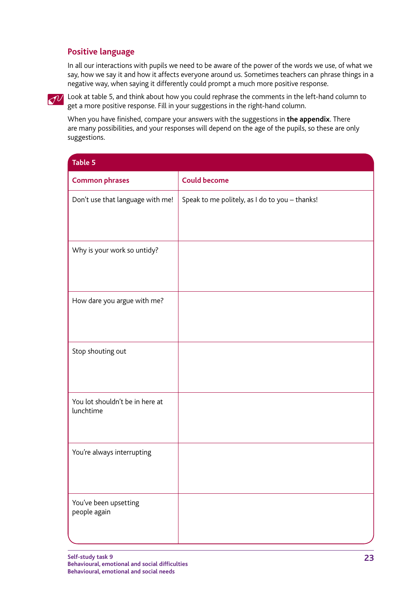### <span id="page-22-0"></span>**Positive language**

In all our interactions with pupils we need to be aware of the power of the words we use, of what we say, how we say it and how it affects everyone around us. Sometimes teachers can phrase things in a negative way, when saying it differently could prompt a much more positive response.

 $\lll$  Look at table 5, and think about how you could rephrase the comments in the left-hand column to get a more positive response. Fill in your suggestions in the right-hand column.

When you have finished, compare your answers with the suggestions in **[the appendix](#page-28-0)**. There are many possibilities, and your responses will depend on the age of the pupils, so these are only suggestions.

| <b>Table 5</b>                               |                                                |  |  |
|----------------------------------------------|------------------------------------------------|--|--|
| <b>Common phrases</b>                        | <b>Could become</b>                            |  |  |
| Don't use that language with me!             | Speak to me politely, as I do to you - thanks! |  |  |
| Why is your work so untidy?                  |                                                |  |  |
| How dare you argue with me?                  |                                                |  |  |
| Stop shouting out                            |                                                |  |  |
| You lot shouldn't be in here at<br>lunchtime |                                                |  |  |
| You're always interrupting                   |                                                |  |  |
| You've been upsetting<br>people again        |                                                |  |  |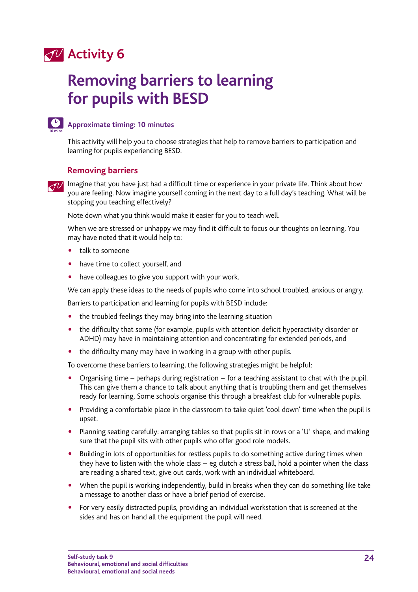### **Activity 6**

## **Removing barriers to learning for pupils with BESD**



### **Approximate timing: 10 minutes**

This activity will help you to choose strategies that help to remove barriers to participation and learning for pupils experiencing BESD.

### **Removing barriers**

 $\lll$  Imagine that you have just had a difficult time or experience in your private life. Think about how you are feeling. Now imagine yourself coming in the next day to a full day's teaching. What will be stopping you teaching effectively?

Note down what you think would make it easier for you to teach well.

When we are stressed or unhappy we may find it difficult to focus our thoughts on learning. You may have noted that it would help to:

- talk to someone
- have time to collect yourself, and
- have colleagues to give you support with your work.

We can apply these ideas to the needs of pupils who come into school troubled, anxious or angry.

Barriers to participation and learning for pupils with BESD include:

- the troubled feelings they may bring into the learning situation
- the difficulty that some (for example, pupils with attention deficit hyperactivity disorder or ADHD) may have in maintaining attention and concentrating for extended periods, and
- the difficulty many may have in working in a group with other pupils.

To overcome these barriers to learning, the following strategies might be helpful:

- Organising time perhaps during registration for a teaching assistant to chat with the pupil. This can give them a chance to talk about anything that is troubling them and get themselves ready for learning. Some schools organise this through a breakfast club for vulnerable pupils.
- Providing a comfortable place in the classroom to take quiet 'cool down' time when the pupil is upset.
- Planning seating carefully: arranging tables so that pupils sit in rows or a 'U' shape, and making sure that the pupil sits with other pupils who offer good role models.
- Building in lots of opportunities for restless pupils to do something active during times when they have to listen with the whole class − eg clutch a stress ball, hold a pointer when the class are reading a shared text, give out cards, work with an individual whiteboard.
- When the pupil is working independently, build in breaks when they can do something like take a message to another class or have a brief period of exercise.
- For very easily distracted pupils, providing an individual workstation that is screened at the sides and has on hand all the equipment the pupil will need.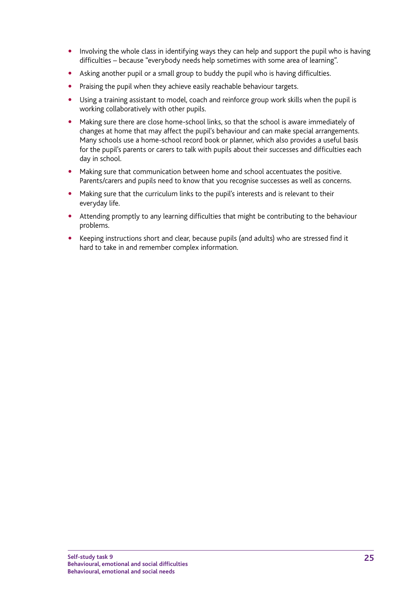- Involving the whole class in identifying ways they can help and support the pupil who is having difficulties – because "everybody needs help sometimes with some area of learning".
- Asking another pupil or a small group to buddy the pupil who is having difficulties.
- Praising the pupil when they achieve easily reachable behaviour targets.
- Using a training assistant to model, coach and reinforce group work skills when the pupil is working collaboratively with other pupils.
- Making sure there are close home-school links, so that the school is aware immediately of changes at home that may affect the pupil's behaviour and can make special arrangements. Many schools use a home-school record book or planner, which also provides a useful basis for the pupil's parents or carers to talk with pupils about their successes and difficulties each day in school.
- Making sure that communication between home and school accentuates the positive. Parents/carers and pupils need to know that you recognise successes as well as concerns.
- Making sure that the curriculum links to the pupil's interests and is relevant to their everyday life.
- Attending promptly to any learning difficulties that might be contributing to the behaviour problems.
- Keeping instructions short and clear, because pupils (and adults) who are stressed find it hard to take in and remember complex information.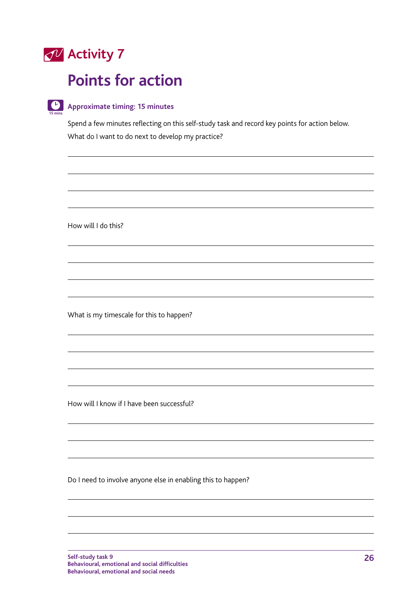

**15 mins**

### **Points for action**

### **Approximate timing: 15 minutes**

Spend a few minutes reflecting on this self-study task and record key points for action below. What do I want to do next to develop my practice?

How will I do this?

What is my timescale for this to happen?

How will I know if I have been successful?

Do I need to involve anyone else in enabling this to happen?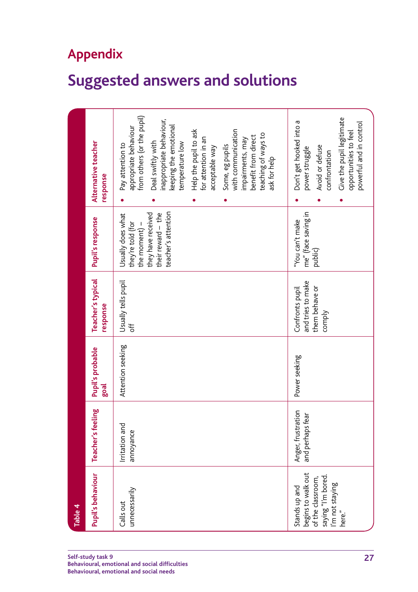### <span id="page-26-0"></span>**Appendix**

## **Suggested answers and solutions**

| Table 4                                                                                                     |                                           |                          |                                                                  |                                                                                                                              |                                                                                                                                                                                                                                                                                                                                                                   |
|-------------------------------------------------------------------------------------------------------------|-------------------------------------------|--------------------------|------------------------------------------------------------------|------------------------------------------------------------------------------------------------------------------------------|-------------------------------------------------------------------------------------------------------------------------------------------------------------------------------------------------------------------------------------------------------------------------------------------------------------------------------------------------------------------|
| Pupil's behaviour                                                                                           | Teacher's feeling                         | Pupil's probable<br>goal | Teacher's typical<br>response                                    | Pupil's response                                                                                                             | Alternative teacher<br>response                                                                                                                                                                                                                                                                                                                                   |
| unnecessarily<br>Calls out                                                                                  | Irritation and<br>annoyance               | Attention seeking        | Usually tells pupil<br>Ър                                        | teacher's attention<br>they have received<br>their reward $-$ the<br>Usually does what<br>they're told (for<br>the moment) – | from others (or the pupil)<br>inappropriate behaviour,<br>keeping the emotional<br>appropriate behaviour<br>with communication<br>Help the pupil to ask<br>teaching of ways to<br>benefit from direct<br>for attention in an<br>impairments, may<br>Deal swiftly with<br>temperature low<br>Pay attention to<br>Some, eg pupils<br>acceptable way<br>ask for help |
| begins to walk out<br>saying "I'm bored.<br>I'm not staying<br>of the classroom,<br>Stands up and<br>here." | Anger, frustration<br>fear<br>and perhaps | Power seeking            | and tries to make<br>them behave or<br>Confronts pupil<br>comply | me" (face saving in<br>"You can't make<br>public)                                                                            | Give the pupil legitimate<br>Don't get hooked into a<br>powerful and in control<br>opportunities to feel<br>Avoid or defuse<br>power struggle<br>confrontation                                                                                                                                                                                                    |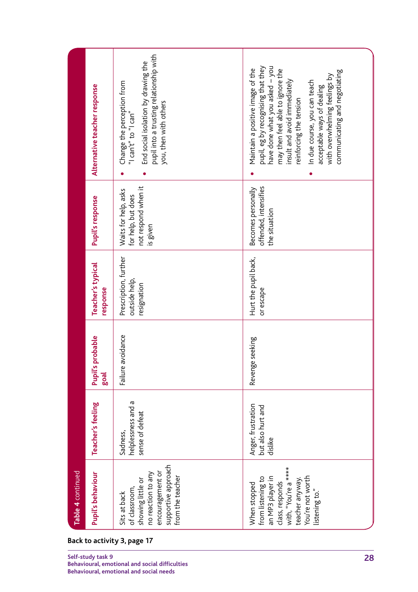|                   | Alternative teacher response                                                                                                                        | pupil into a trusting relationship with<br>End social isolation by drawing the<br>Change the perception from<br>you, then with others<br>"I can't" to "I can" | pupil, eg by recognising that they<br>nave done what you asked - you<br>Maintain a positive image of the<br>may then feel able to ignore the<br>communicating and negotiating<br>with overwhelming feelings by<br>insult and avoid immediately<br>In due course, you can teach<br>acceptable ways of dealing<br>reinforcing the tension |  |
|-------------------|-----------------------------------------------------------------------------------------------------------------------------------------------------|---------------------------------------------------------------------------------------------------------------------------------------------------------------|-----------------------------------------------------------------------------------------------------------------------------------------------------------------------------------------------------------------------------------------------------------------------------------------------------------------------------------------|--|
|                   | Pupil's response                                                                                                                                    | not respond when it<br>Waits for help, asks<br>for help, but does<br>is given                                                                                 | offended, intensifies<br>Becomes personally<br>the situation                                                                                                                                                                                                                                                                            |  |
|                   | <b>Teacher's typical</b><br>response                                                                                                                | Prescription, further<br>outside help,<br>resignation                                                                                                         | Hurt the pupil back,<br>or escape                                                                                                                                                                                                                                                                                                       |  |
|                   | probable<br>Pupil's<br>goal                                                                                                                         | avoidance<br>Failure                                                                                                                                          | Revenge seeking                                                                                                                                                                                                                                                                                                                         |  |
|                   | Teacher's feeling                                                                                                                                   | helplessness and a<br>sense of defeat<br>Sadness,                                                                                                             | Anger, frustration<br>but also hurt and<br>dislike                                                                                                                                                                                                                                                                                      |  |
| Table 4 continued | Pupil's behaviour                                                                                                                                   | supportive approach<br>encouragement or<br>no reaction to any<br>from the teacher<br>showing little or<br>of classroom,<br>Sits at back                       | with, "You're a ****<br>You're not worth<br>from listening to<br>an MP3 player in<br>teacher anyway.<br>class, responds<br>When stopped<br>listening to."                                                                                                                                                                               |  |
|                   | Back to activity 3, page 17<br>Self-study task 9<br>28<br>Behavioural, emotional and social difficulties<br>Behavioural, emotional and social needs |                                                                                                                                                               |                                                                                                                                                                                                                                                                                                                                         |  |